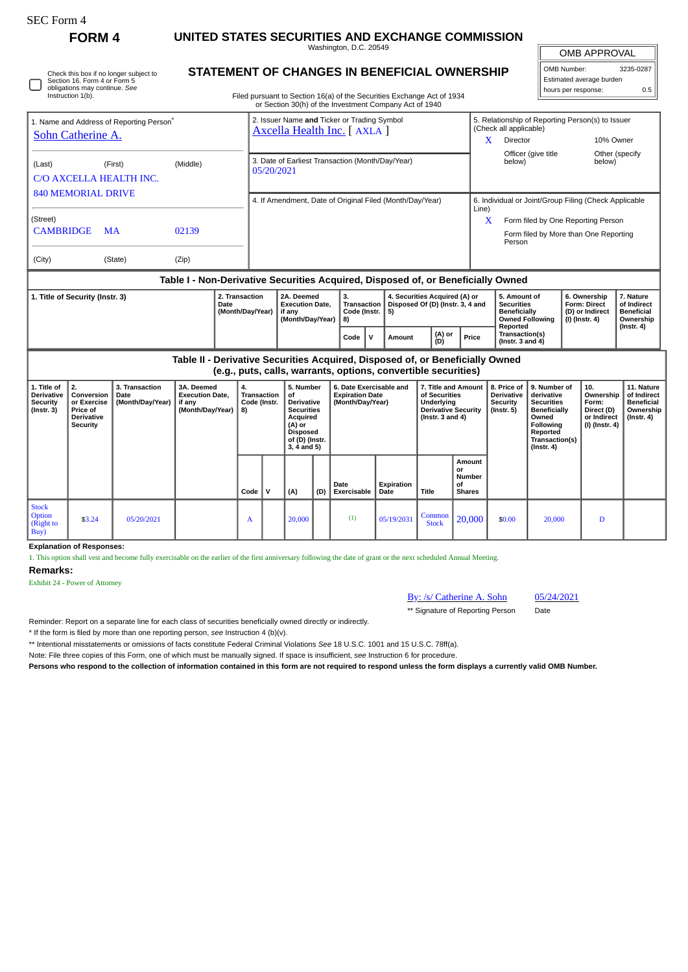| <b>SEC Form 4</b>                                                                                                           |                                                                                                                              |                                            |                                                                               |                                                                                  |                                                                                                                        |                                                                                                                                           |                                                                                                                                                                                         |                                                                                                                    |                    |                                                                                                          |                                                      |                                                                                                                                      |                                                                                                                                                |                                                               |                                                                          |                                                                                 |  |
|-----------------------------------------------------------------------------------------------------------------------------|------------------------------------------------------------------------------------------------------------------------------|--------------------------------------------|-------------------------------------------------------------------------------|----------------------------------------------------------------------------------|------------------------------------------------------------------------------------------------------------------------|-------------------------------------------------------------------------------------------------------------------------------------------|-----------------------------------------------------------------------------------------------------------------------------------------------------------------------------------------|--------------------------------------------------------------------------------------------------------------------|--------------------|----------------------------------------------------------------------------------------------------------|------------------------------------------------------|--------------------------------------------------------------------------------------------------------------------------------------|------------------------------------------------------------------------------------------------------------------------------------------------|---------------------------------------------------------------|--------------------------------------------------------------------------|---------------------------------------------------------------------------------|--|
| <b>FORM4</b>                                                                                                                |                                                                                                                              |                                            | UNITED STATES SECURITIES AND EXCHANGE COMMISSION<br>Washington, D.C. 20549    |                                                                                  |                                                                                                                        |                                                                                                                                           |                                                                                                                                                                                         |                                                                                                                    |                    |                                                                                                          |                                                      |                                                                                                                                      |                                                                                                                                                | OMB APPROVAL                                                  |                                                                          |                                                                                 |  |
|                                                                                                                             | Check this box if no longer subject to<br>Section 16. Form 4 or Form 5<br>obligations may continue. See<br>Instruction 1(b). |                                            |                                                                               |                                                                                  |                                                                                                                        |                                                                                                                                           | <b>STATEMENT OF CHANGES IN BENEFICIAL OWNERSHIP</b><br>Filed pursuant to Section 16(a) of the Securities Exchange Act of 1934<br>or Section 30(h) of the Investment Company Act of 1940 |                                                                                                                    |                    |                                                                                                          |                                                      |                                                                                                                                      | OMB Number:                                                                                                                                    | Estimated average burden<br>hours per response:               | 3235-0287<br>0.5                                                         |                                                                                 |  |
| 1. Name and Address of Reporting Person <sup>®</sup><br>Sohn Catherine A.                                                   |                                                                                                                              |                                            |                                                                               |                                                                                  | 2. Issuer Name and Ticker or Trading Symbol<br>(Check all applicable)<br>Axcella Health Inc. [ AXLA ]<br>Director<br>X |                                                                                                                                           |                                                                                                                                                                                         |                                                                                                                    |                    |                                                                                                          |                                                      |                                                                                                                                      |                                                                                                                                                | 5. Relationship of Reporting Person(s) to Issuer<br>10% Owner |                                                                          |                                                                                 |  |
| (Middle)<br>(First)<br>(Last)<br>C/O AXCELLA HEALTH INC.<br><b>840 MEMORIAL DRIVE</b>                                       |                                                                                                                              |                                            |                                                                               |                                                                                  | 3. Date of Earliest Transaction (Month/Day/Year)<br>below)<br>05/20/2021                                               |                                                                                                                                           |                                                                                                                                                                                         |                                                                                                                    |                    |                                                                                                          |                                                      | Officer (give title<br>Other (specify<br>below)                                                                                      |                                                                                                                                                |                                                               |                                                                          |                                                                                 |  |
| (Street)<br><b>CAMBRIDGE</b>                                                                                                | <b>MA</b>                                                                                                                    | 02139                                      |                                                                               | 4. If Amendment, Date of Original Filed (Month/Day/Year)<br>Line)<br>X<br>Person |                                                                                                                        |                                                                                                                                           |                                                                                                                                                                                         |                                                                                                                    |                    |                                                                                                          |                                                      | 6. Individual or Joint/Group Filing (Check Applicable<br>Form filed by One Reporting Person<br>Form filed by More than One Reporting |                                                                                                                                                |                                                               |                                                                          |                                                                                 |  |
| (City)                                                                                                                      |                                                                                                                              | (State)                                    | (Zip)                                                                         |                                                                                  |                                                                                                                        |                                                                                                                                           |                                                                                                                                                                                         |                                                                                                                    |                    |                                                                                                          |                                                      |                                                                                                                                      |                                                                                                                                                |                                                               |                                                                          |                                                                                 |  |
| Table I - Non-Derivative Securities Acquired, Disposed of, or Beneficially Owned<br>1. Title of Security (Instr. 3)<br>Date |                                                                                                                              |                                            |                                                                               | 2. Transaction<br>(Month/Day/Year)                                               |                                                                                                                        | 2A. Deemed<br><b>Execution Date,</b><br>if any<br>(Month/Day/Year)                                                                        |                                                                                                                                                                                         | 3.<br>4. Securities Acquired (A) or<br>Disposed Of (D) (Instr. 3, 4 and<br>Transaction<br>Code (Instr.<br>5)<br>8) |                    |                                                                                                          |                                                      |                                                                                                                                      | 5. Amount of<br><b>Securities</b><br><b>Beneficially</b><br><b>Owned Following</b><br>Reported                                                 |                                                               | 6. Ownership<br><b>Form: Direct</b><br>(D) or Indirect<br>(I) (Instr. 4) | 7. Nature<br>of Indirect<br><b>Beneficial</b><br>Ownership<br>$($ Instr. 4 $)$  |  |
|                                                                                                                             |                                                                                                                              |                                            |                                                                               |                                                                                  |                                                                                                                        |                                                                                                                                           |                                                                                                                                                                                         | $\mathsf{v}$<br>Code                                                                                               | Amount             | (A) or<br>(D)                                                                                            | Price                                                | Transaction(s)<br>( $Instr. 3 and 4$ )                                                                                               |                                                                                                                                                |                                                               |                                                                          |                                                                                 |  |
|                                                                                                                             |                                                                                                                              |                                            | Table II - Derivative Securities Acquired, Disposed of, or Beneficially Owned |                                                                                  |                                                                                                                        |                                                                                                                                           |                                                                                                                                                                                         | (e.g., puts, calls, warrants, options, convertible securities)                                                     |                    |                                                                                                          |                                                      |                                                                                                                                      |                                                                                                                                                |                                                               |                                                                          |                                                                                 |  |
| 1. Title of<br><b>Derivative</b><br>Security<br>$($ Instr. 3 $)$                                                            | 2.<br>Conversion<br>or Exercise<br>Price of<br>Derivative<br><b>Security</b>                                                 | 3. Transaction<br>Date<br>(Month/Day/Year) | 3A. Deemed<br><b>Execution Date,</b><br>if any<br>(Month/Day/Year)            | 4.<br>8)                                                                         | Transaction<br>Code (Instr.                                                                                            | 5. Number<br>of<br><b>Derivative</b><br><b>Securities</b><br>Acquired<br>$(A)$ or<br><b>Disposed</b><br>of (D) (Instr.<br>$3, 4$ and $5)$ |                                                                                                                                                                                         | 6. Date Exercisable and<br><b>Expiration Date</b><br>(Month/Day/Year)                                              |                    | 7. Title and Amount<br>of Securities<br>Underlying<br><b>Derivative Security</b><br>( $lnstr. 3 and 4$ ) |                                                      | 8. Price of<br>Derivative<br><b>Security</b><br>$($ lnstr. 5 $)$                                                                     | 9. Number of<br>derivative<br><b>Securities</b><br><b>Beneficially</b><br>Owned<br>Following<br>Reported<br>Transaction(s)<br>$($ Instr. 4 $)$ |                                                               | 10.<br>Ownership<br>Form:<br>Direct (D)<br>or Indirect<br>(I) (Instr. 4) | 11. Nature<br>of Indirect<br><b>Beneficial</b><br>Ownership<br>$($ Instr. 4 $)$ |  |
|                                                                                                                             |                                                                                                                              |                                            |                                                                               | Code                                                                             | $\mathsf{v}$                                                                                                           | (A)                                                                                                                                       | (D)                                                                                                                                                                                     | Date<br>Exercisable                                                                                                | Expiration<br>Date | Title                                                                                                    | Amount<br>or<br><b>Number</b><br>οf<br><b>Shares</b> |                                                                                                                                      |                                                                                                                                                |                                                               |                                                                          |                                                                                 |  |
| <b>Stock</b><br><b>Option</b><br>(Right to<br>Buy)                                                                          | \$3.24                                                                                                                       | 05/20/2021                                 |                                                                               | A                                                                                |                                                                                                                        | 20,000                                                                                                                                    |                                                                                                                                                                                         | (1)                                                                                                                | 05/19/2031         | Common<br><b>Stock</b>                                                                                   | 20,000                                               | \$0.00                                                                                                                               | 20,000                                                                                                                                         |                                                               | D                                                                        |                                                                                 |  |

**Explanation of Responses:**

1. This option shall vest and become fully exercisable on the earlier of the first anniversary following the date of grant or the next scheduled Annual Meeting.

**Remarks:**

Exhibit 24 - Power of Attorney

By: /s/ Catherine A. Sohn 05/24/2021

\*\* Signature of Reporting Person Date

Reminder: Report on a separate line for each class of securities beneficially owned directly or indirectly.

\* If the form is filed by more than one reporting person, *see* Instruction 4 (b)(v).

\*\* Intentional misstatements or omissions of facts constitute Federal Criminal Violations *See* 18 U.S.C. 1001 and 15 U.S.C. 78ff(a).

Note: File three copies of this Form, one of which must be manually signed. If space is insufficient, *see* Instruction 6 for procedure.

**Persons who respond to the collection of information contained in this form are not required to respond unless the form displays a currently valid OMB Number.**